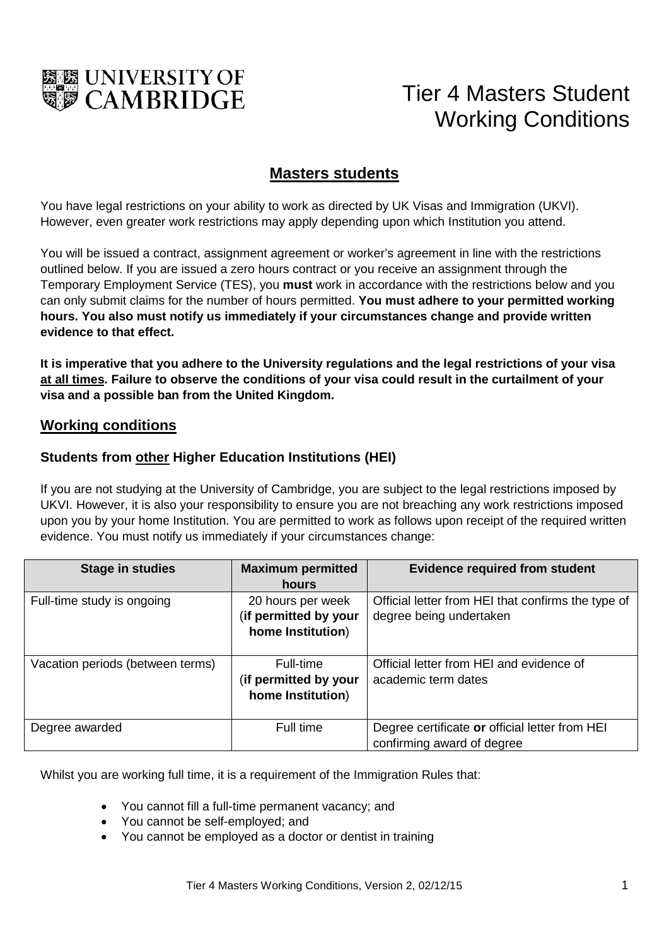

# Tier 4 Masters Student Working Conditions

## **Masters students**

You have legal restrictions on your ability to work as directed by UK Visas and Immigration (UKVI). However, even greater work restrictions may apply depending upon which Institution you attend.

You will be issued a contract, assignment agreement or worker's agreement in line with the restrictions outlined below. If you are issued a zero hours contract or you receive an assignment through the Temporary Employment Service (TES), you **must** work in accordance with the restrictions below and you can only submit claims for the number of hours permitted. **You must adhere to your permitted working hours. You also must notify us immediately if your circumstances change and provide written evidence to that effect.**

**It is imperative that you adhere to the University regulations and the legal restrictions of your visa at all times. Failure to observe the conditions of your visa could result in the curtailment of your visa and a possible ban from the United Kingdom.** 

#### **Working conditions**

#### **Students from other Higher Education Institutions (HEI)**

If you are not studying at the University of Cambridge, you are subject to the legal restrictions imposed by UKVI. However, it is also your responsibility to ensure you are not breaching any work restrictions imposed upon you by your home Institution. You are permitted to work as follows upon receipt of the required written evidence. You must notify us immediately if your circumstances change:

| <b>Stage in studies</b>          | <b>Maximum permitted</b><br>hours                               | <b>Evidence required from student</b>                                         |
|----------------------------------|-----------------------------------------------------------------|-------------------------------------------------------------------------------|
| Full-time study is ongoing       | 20 hours per week<br>(if permitted by your<br>home Institution) | Official letter from HEI that confirms the type of<br>degree being undertaken |
| Vacation periods (between terms) | Full-time<br>(if permitted by your<br>home Institution)         | Official letter from HEI and evidence of<br>academic term dates               |
| Degree awarded                   | Full time                                                       | Degree certificate or official letter from HEI<br>confirming award of degree  |

Whilst you are working full time, it is a requirement of the Immigration Rules that:

- You cannot fill a full-time permanent vacancy; and
- You cannot be self-employed; and
- You cannot be employed as a doctor or dentist in training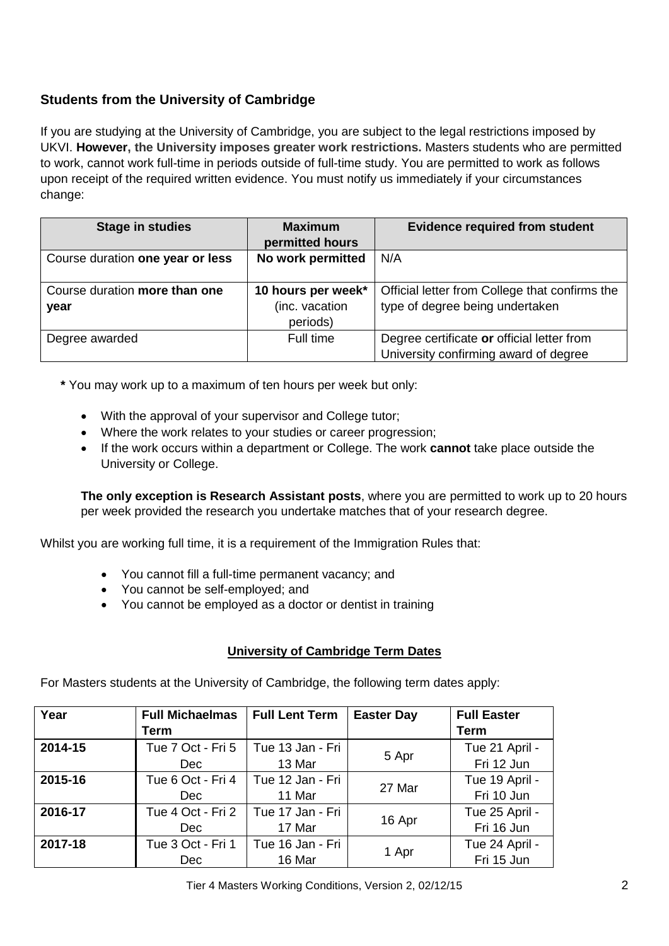### **Students from the University of Cambridge**

If you are studying at the University of Cambridge, you are subject to the legal restrictions imposed by UKVI. **However, the University imposes greater work restrictions.** Masters students who are permitted to work, cannot work full-time in periods outside of full-time study. You are permitted to work as follows upon receipt of the required written evidence. You must notify us immediately if your circumstances change:

| <b>Stage in studies</b>          | <b>Maximum</b>     | <b>Evidence required from student</b>          |  |
|----------------------------------|--------------------|------------------------------------------------|--|
|                                  | permitted hours    |                                                |  |
| Course duration one year or less | No work permitted  | N/A                                            |  |
|                                  |                    |                                                |  |
| Course duration more than one    | 10 hours per week* | Official letter from College that confirms the |  |
| year                             | (inc. vacation     | type of degree being undertaken                |  |
|                                  | periods)           |                                                |  |
| Degree awarded                   | Full time          | Degree certificate or official letter from     |  |
|                                  |                    | University confirming award of degree          |  |

**\*** You may work up to a maximum of ten hours per week but only:

- With the approval of your supervisor and College tutor;
- Where the work relates to your studies or career progression;
- If the work occurs within a department or College. The work **cannot** take place outside the University or College.

**The only exception is Research Assistant posts**, where you are permitted to work up to 20 hours per week provided the research you undertake matches that of your research degree.

Whilst you are working full time, it is a requirement of the Immigration Rules that:

- You cannot fill a full-time permanent vacancy; and
- You cannot be self-employed; and
- You cannot be employed as a doctor or dentist in training

#### **University of Cambridge Term Dates**

For Masters students at the University of Cambridge, the following term dates apply:

| Year    | <b>Full Michaelmas</b> | <b>Full Lent Term</b> | <b>Easter Day</b> | <b>Full Easter</b> |
|---------|------------------------|-----------------------|-------------------|--------------------|
|         | Term                   |                       |                   | <b>Term</b>        |
| 2014-15 | Tue 7 Oct - Fri 5      | Tue 13 Jan - Fri      | 5 Apr             | Tue 21 April -     |
|         | <b>Dec</b>             | 13 Mar                |                   | Fri 12 Jun         |
| 2015-16 | Tue 6 Oct - Fri 4      | Tue 12 Jan - Fri      | 27 Mar            | Tue 19 April -     |
|         | Dec                    | 11 Mar                |                   | Fri 10 Jun         |
| 2016-17 | Tue 4 Oct - Fri 2      | Tue 17 Jan - Fri      | 16 Apr            | Tue 25 April -     |
|         | <b>Dec</b>             | 17 Mar                |                   | Fri 16 Jun         |
| 2017-18 | Tue 3 Oct - Fri 1      | Tue 16 Jan - Fri      | 1 Apr             | Tue 24 April -     |
|         | <b>Dec</b>             | 16 Mar                |                   | Fri 15 Jun         |